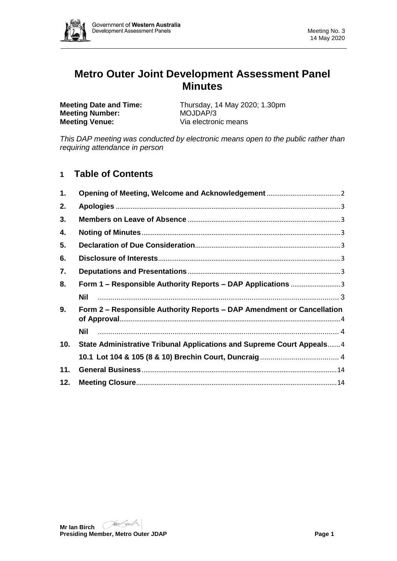

# **Metro Outer Joint Development Assessment Panel Minutes**

**Meeting Number: Meeting Venue:** Via electronic means

**Meeting Date and Time:** Thursday, 14 May 2020; 1.30pm<br>**Meeting Number:** MOJDAP/3

*This DAP meeting was conducted by electronic means open to the public rather than requiring attendance in person*

## **1 Table of Contents**

| 1.  |                                                                        |
|-----|------------------------------------------------------------------------|
| 2.  |                                                                        |
| 3.  |                                                                        |
| 4.  |                                                                        |
| 5.  |                                                                        |
| 6.  |                                                                        |
| 7.  |                                                                        |
| 8.  | Form 1 – Responsible Authority Reports – DAP Applications 3            |
|     | Nil                                                                    |
| 9.  | Form 2 – Responsible Authority Reports – DAP Amendment or Cancellation |
|     | Nil                                                                    |
| 10. | State Administrative Tribunal Applications and Supreme Court Appeals 4 |
|     |                                                                        |
| 11. |                                                                        |
| 12. |                                                                        |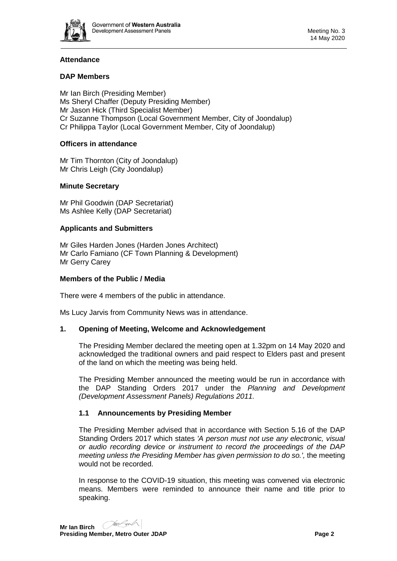

## **Attendance**

## **DAP Members**

Mr Ian Birch (Presiding Member) Ms Sheryl Chaffer (Deputy Presiding Member) Mr Jason Hick (Third Specialist Member) Cr Suzanne Thompson (Local Government Member, City of Joondalup) Cr Philippa Taylor (Local Government Member, City of Joondalup)

### **Officers in attendance**

Mr Tim Thornton (City of Joondalup) Mr Chris Leigh (City Joondalup)

## **Minute Secretary**

Mr Phil Goodwin (DAP Secretariat) Ms Ashlee Kelly (DAP Secretariat)

### **Applicants and Submitters**

Mr Giles Harden Jones (Harden Jones Architect) Mr Carlo Famiano (CF Town Planning & Development) Mr Gerry Carey

### **Members of the Public / Media**

There were 4 members of the public in attendance.

<span id="page-1-0"></span>Ms Lucy Jarvis from Community News was in attendance.

### **1. Opening of Meeting, Welcome and Acknowledgement**

The Presiding Member declared the meeting open at 1.32pm on 14 May 2020 and acknowledged the traditional owners and paid respect to Elders past and present of the land on which the meeting was being held.

The Presiding Member announced the meeting would be run in accordance with the DAP Standing Orders 2017 under the *Planning and Development (Development Assessment Panels) Regulations 2011.*

### **1.1 Announcements by Presiding Member**

The Presiding Member advised that in accordance with Section 5.16 of the DAP Standing Orders 2017 which states *'A person must not use any electronic, visual or audio recording device or instrument to record the proceedings of the DAP meeting unless the Presiding Member has given permission to do so.',* the meeting would not be recorded.

In response to the COVID-19 situation, this meeting was convened via electronic means. Members were reminded to announce their name and title prior to speaking.

**Mr Ian Birch Presiding Member, Metro Outer JDAP Page 2**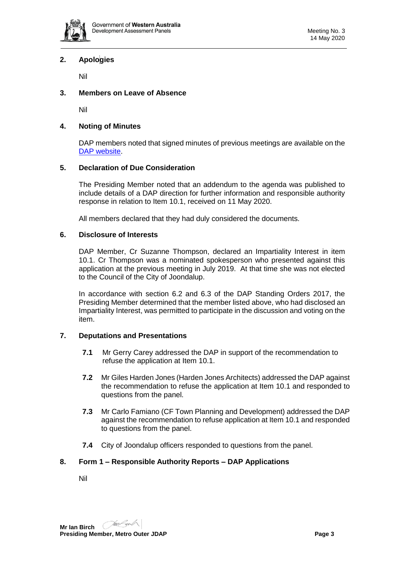

## <span id="page-2-0"></span>**2. Apologies**

Nil

## <span id="page-2-1"></span>**3. Members on Leave of Absence**

Nil

#### <span id="page-2-2"></span>**4. Noting of Minutes**

DAP members noted that signed minutes of previous meetings are available on the [DAP website.](https://www.dplh.wa.gov.au/about/development-assessment-panels/daps-agendas-and-minutes)

#### <span id="page-2-3"></span>**5. Declaration of Due Consideration**

The Presiding Member noted that an addendum to the agenda was published to include details of a DAP direction for further information and responsible authority response in relation to Item 10.1, received on 11 May 2020.

All members declared that they had duly considered the documents.

#### <span id="page-2-4"></span>**6. Disclosure of Interests**

DAP Member, Cr Suzanne Thompson, declared an Impartiality Interest in item 10.1. Cr Thompson was a nominated spokesperson who presented against this application at the previous meeting in July 2019. At that time she was not elected to the Council of the City of Joondalup.

In accordance with section 6.2 and 6.3 of the DAP Standing Orders 2017, the Presiding Member determined that the member listed above, who had disclosed an Impartiality Interest, was permitted to participate in the discussion and voting on the item.

#### <span id="page-2-5"></span>**7. Deputations and Presentations**

- **7.1** Mr Gerry Carey addressed the DAP in support of the recommendation to refuse the application at Item 10.1.
- **7.2** Mr Giles Harden Jones (Harden Jones Architects) addressed the DAP against the recommendation to refuse the application at Item 10.1 and responded to questions from the panel.
- **7.3** Mr Carlo Famiano (CF Town Planning and Development) addressed the DAP against the recommendation to refuse application at Item 10.1 and responded to questions from the panel.
- **7.4** City of Joondalup officers responded to questions from the panel.

#### <span id="page-2-7"></span><span id="page-2-6"></span>**8. Form 1 – Responsible Authority Reports – DAP Applications**

Nil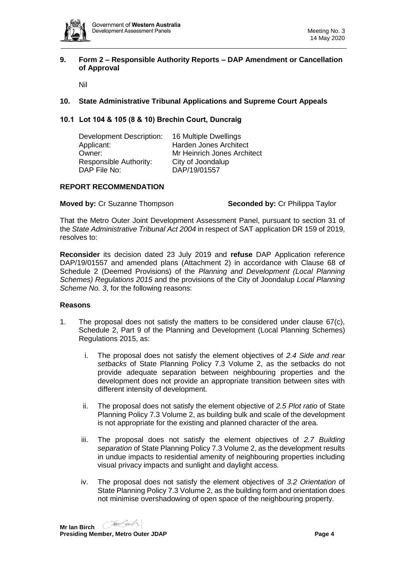

#### <span id="page-3-0"></span>**9. Form 2 – Responsible Authority Reports – DAP Amendment or Cancellation of Approval**

Nil

## <span id="page-3-2"></span><span id="page-3-1"></span>**10. State Administrative Tribunal Applications and Supreme Court Appeals**

### <span id="page-3-3"></span>**10.1 Lot 104 & 105 (8 & 10) Brechin Court, Duncraig**

| Development Description: | 16 Multiple Dwellings       |
|--------------------------|-----------------------------|
| Applicant:               | Harden Jones Architect      |
| Owner:                   | Mr Heinrich Jones Architect |
| Responsible Authority:   | City of Joondalup           |
| DAP File No:             | DAP/19/01557                |
|                          |                             |

### **REPORT RECOMMENDATION**

**Moved by:** Cr Suzanne Thompson **Seconded by:** Cr Philippa Taylor

That the Metro Outer Joint Development Assessment Panel, pursuant to section 31 of the *State Administrative Tribunal Act 2004* in respect of SAT application DR 159 of 2019, resolves to:

**Reconsider** its decision dated 23 July 2019 and **refuse** DAP Application reference DAP/19/01557 and amended plans (Attachment 2) in accordance with Clause 68 of Schedule 2 (Deemed Provisions) of the *Planning and Development (Local Planning Schemes) Regulations 2015* and the provisions of the City of Joondalup *Local Planning Scheme No. 3*, for the following reasons:

#### **Reasons**

- 1. The proposal does not satisfy the matters to be considered under clause 67(c), Schedule 2, Part 9 of the Planning and Development (Local Planning Schemes) Regulations 2015, as:
	- i. The proposal does not satisfy the element objectives of *2.4 Side and rear setbacks* of State Planning Policy 7.3 Volume 2, as the setbacks do not provide adequate separation between neighbouring properties and the development does not provide an appropriate transition between sites with different intensity of development.
	- ii. The proposal does not satisfy the element objective of *2.5 Plot ratio* of State Planning Policy 7.3 Volume 2, as building bulk and scale of the development is not appropriate for the existing and planned character of the area.
	- iii. The proposal does not satisfy the element objectives of *2.7 Building separation* of State Planning Policy 7.3 Volume 2, as the development results in undue impacts to residential amenity of neighbouring properties including visual privacy impacts and sunlight and daylight access.
	- iv. The proposal does not satisfy the element objectives of *3.2 Orientation* of State Planning Policy 7.3 Volume 2, as the building form and orientation does not minimise overshadowing of open space of the neighbouring property.

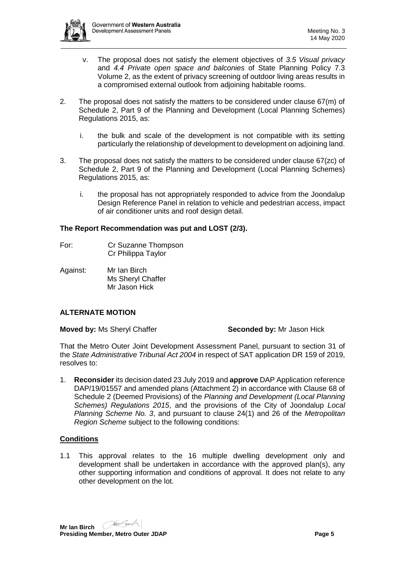

- v. The proposal does not satisfy the element objectives of *3.5 Visual privacy* and *4.4 Private open space and balconies* of State Planning Policy 7.3 Volume 2, as the extent of privacy screening of outdoor living areas results in a compromised external outlook from adjoining habitable rooms.
- 2. The proposal does not satisfy the matters to be considered under clause 67(m) of Schedule 2, Part 9 of the Planning and Development (Local Planning Schemes) Regulations 2015, as:
	- i. the bulk and scale of the development is not compatible with its setting particularly the relationship of development to development on adjoining land.
- 3. The proposal does not satisfy the matters to be considered under clause 67(zc) of Schedule 2, Part 9 of the Planning and Development (Local Planning Schemes) Regulations 2015, as:
	- i. the proposal has not appropriately responded to advice from the Joondalup Design Reference Panel in relation to vehicle and pedestrian access, impact of air conditioner units and roof design detail.

#### **The Report Recommendation was put and LOST (2/3).**

- For: Cr Suzanne Thompson Cr Philippa Taylor
- Against: Mr Ian Birch Ms Sheryl Chaffer Mr Jason Hick

### **ALTERNATE MOTION**

**Moved by:** Ms Sheryl Chaffer **Seconded by:** Mr Jason Hick

That the Metro Outer Joint Development Assessment Panel, pursuant to section 31 of the *State Administrative Tribunal Act 2004* in respect of SAT application DR 159 of 2019, resolves to:

1. **Reconsider** its decision dated 23 July 2019 and **approve** DAP Application reference DAP/19/01557 and amended plans (Attachment 2) in accordance with Clause 68 of Schedule 2 (Deemed Provisions) of the *Planning and Development (Local Planning Schemes) Regulations 2015*, and the provisions of the City of Joondalup *Local Planning Scheme No. 3*, and pursuant to clause 24(1) and 26 of the *Metropolitan Region Scheme* subject to the following conditions:

### **Conditions**

1.1 This approval relates to the 16 multiple dwelling development only and development shall be undertaken in accordance with the approved plan(s), any other supporting information and conditions of approval. It does not relate to any other development on the lot.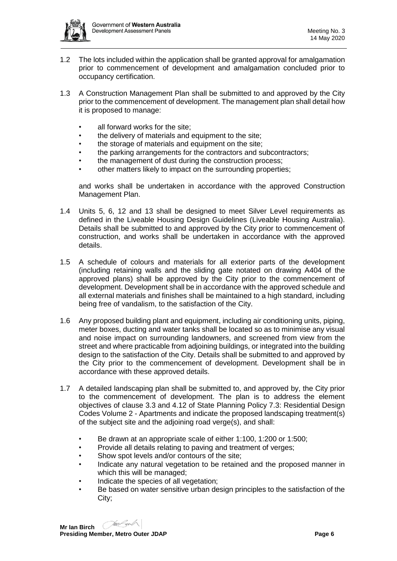

- 1.2 The lots included within the application shall be granted approval for amalgamation prior to commencement of development and amalgamation concluded prior to occupancy certification.
- 1.3 A Construction Management Plan shall be submitted to and approved by the City prior to the commencement of development. The management plan shall detail how it is proposed to manage:
	- all forward works for the site;
	- the delivery of materials and equipment to the site:
	- the storage of materials and equipment on the site;
	- the parking arrangements for the contractors and subcontractors;
	- the management of dust during the construction process;
	- other matters likely to impact on the surrounding properties;

and works shall be undertaken in accordance with the approved Construction Management Plan.

- 1.4 Units 5, 6, 12 and 13 shall be designed to meet Silver Level requirements as defined in the Liveable Housing Design Guidelines (Liveable Housing Australia). Details shall be submitted to and approved by the City prior to commencement of construction, and works shall be undertaken in accordance with the approved details.
- 1.5 A schedule of colours and materials for all exterior parts of the development (including retaining walls and the sliding gate notated on drawing A404 of the approved plans) shall be approved by the City prior to the commencement of development. Development shall be in accordance with the approved schedule and all external materials and finishes shall be maintained to a high standard, including being free of vandalism, to the satisfaction of the City.
- 1.6 Any proposed building plant and equipment, including air conditioning units, piping, meter boxes, ducting and water tanks shall be located so as to minimise any visual and noise impact on surrounding landowners, and screened from view from the street and where practicable from adjoining buildings, or integrated into the building design to the satisfaction of the City. Details shall be submitted to and approved by the City prior to the commencement of development. Development shall be in accordance with these approved details.
- 1.7 A detailed landscaping plan shall be submitted to, and approved by, the City prior to the commencement of development. The plan is to address the element objectives of clause 3.3 and 4.12 of State Planning Policy 7.3: Residential Design Codes Volume 2 - Apartments and indicate the proposed landscaping treatment(s) of the subject site and the adjoining road verge(s), and shall:
	- Be drawn at an appropriate scale of either 1:100, 1:200 or 1:500;
	- Provide all details relating to paving and treatment of verges;
	- Show spot levels and/or contours of the site:
	- Indicate any natural vegetation to be retained and the proposed manner in which this will be managed;
	- Indicate the species of all vegetation;
	- Be based on water sensitive urban design principles to the satisfaction of the City;

**Mr Ian Birch**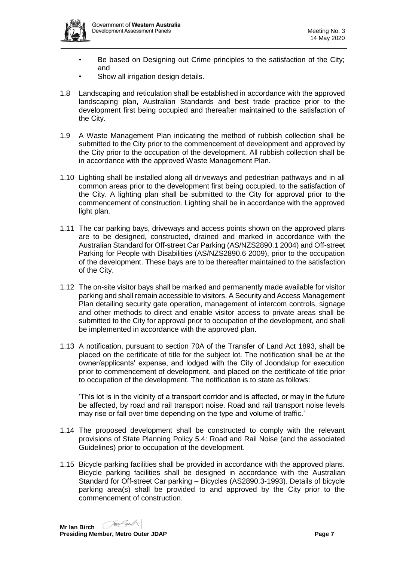- Be based on Designing out Crime principles to the satisfaction of the City; and
- Show all irrigation design details.
- 1.8 Landscaping and reticulation shall be established in accordance with the approved landscaping plan, Australian Standards and best trade practice prior to the development first being occupied and thereafter maintained to the satisfaction of the City.
- 1.9 A Waste Management Plan indicating the method of rubbish collection shall be submitted to the City prior to the commencement of development and approved by the City prior to the occupation of the development. All rubbish collection shall be in accordance with the approved Waste Management Plan.
- 1.10 Lighting shall be installed along all driveways and pedestrian pathways and in all common areas prior to the development first being occupied, to the satisfaction of the City. A lighting plan shall be submitted to the City for approval prior to the commencement of construction. Lighting shall be in accordance with the approved light plan.
- 1.11 The car parking bays, driveways and access points shown on the approved plans are to be designed, constructed, drained and marked in accordance with the Australian Standard for Off-street Car Parking (AS/NZS2890.1 2004) and Off-street Parking for People with Disabilities (AS/NZS2890.6 2009), prior to the occupation of the development. These bays are to be thereafter maintained to the satisfaction of the City.
- 1.12 The on-site visitor bays shall be marked and permanently made available for visitor parking and shall remain accessible to visitors. A Security and Access Management Plan detailing security gate operation, management of intercom controls, signage and other methods to direct and enable visitor access to private areas shall be submitted to the City for approval prior to occupation of the development, and shall be implemented in accordance with the approved plan.
- 1.13 A notification, pursuant to section 70A of the Transfer of Land Act 1893, shall be placed on the certificate of title for the subject lot. The notification shall be at the owner/applicants' expense, and lodged with the City of Joondalup for execution prior to commencement of development, and placed on the certificate of title prior to occupation of the development. The notification is to state as follows:

'This lot is in the vicinity of a transport corridor and is affected, or may in the future be affected, by road and rail transport noise. Road and rail transport noise levels may rise or fall over time depending on the type and volume of traffic.'

- 1.14 The proposed development shall be constructed to comply with the relevant provisions of State Planning Policy 5.4: Road and Rail Noise (and the associated Guidelines) prior to occupation of the development.
- 1.15 Bicycle parking facilities shall be provided in accordance with the approved plans. Bicycle parking facilities shall be designed in accordance with the Australian Standard for Off-street Car parking – Bicycles (AS2890.3-1993). Details of bicycle parking area(s) shall be provided to and approved by the City prior to the commencement of construction.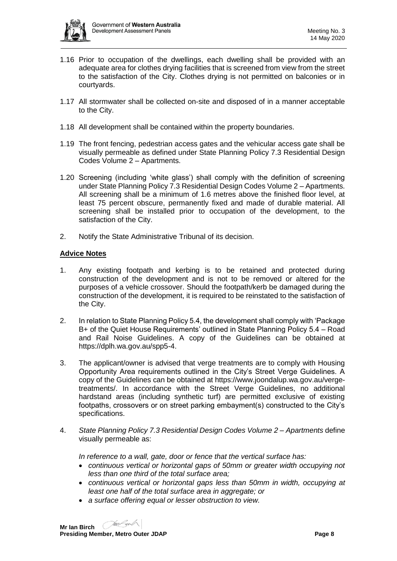

- 1.16 Prior to occupation of the dwellings, each dwelling shall be provided with an adequate area for clothes drying facilities that is screened from view from the street to the satisfaction of the City. Clothes drying is not permitted on balconies or in courtyards.
- 1.17 All stormwater shall be collected on-site and disposed of in a manner acceptable to the City.
- 1.18 All development shall be contained within the property boundaries.
- 1.19 The front fencing, pedestrian access gates and the vehicular access gate shall be visually permeable as defined under State Planning Policy 7.3 Residential Design Codes Volume 2 – Apartments.
- 1.20 Screening (including 'white glass') shall comply with the definition of screening under State Planning Policy 7.3 Residential Design Codes Volume 2 – Apartments. All screening shall be a minimum of 1.6 metres above the finished floor level, at least 75 percent obscure, permanently fixed and made of durable material. All screening shall be installed prior to occupation of the development, to the satisfaction of the City.
- 2. Notify the State Administrative Tribunal of its decision.

### **Advice Notes**

- 1. Any existing footpath and kerbing is to be retained and protected during construction of the development and is not to be removed or altered for the purposes of a vehicle crossover. Should the footpath/kerb be damaged during the construction of the development, it is required to be reinstated to the satisfaction of the City.
- 2. In relation to State Planning Policy 5.4, the development shall comply with 'Package B+ of the Quiet House Requirements' outlined in State Planning Policy 5.4 – Road and Rail Noise Guidelines. A copy of the Guidelines can be obtained at [https://dplh.wa.gov.au/spp5-4.](https://dplh.wa.gov.au/spp5-4)
- 3. The applicant/owner is advised that verge treatments are to comply with Housing Opportunity Area requirements outlined in the City's Street Verge Guidelines. A copy of the Guidelines can be obtained at [https://www.joondalup.wa.gov.au/verge](https://www.joondalup.wa.gov.au/verge-treatments/)[treatments/.](https://www.joondalup.wa.gov.au/verge-treatments/) In accordance with the Street Verge Guidelines, no additional hardstand areas (including synthetic turf) are permitted exclusive of existing footpaths, crossovers or on street parking embayment(s) constructed to the City's specifications.
- 4. *State Planning Policy 7.3 Residential Design Codes Volume 2 – Apartments* define visually permeable as:

*In reference to a wall, gate, door or fence that the vertical surface has:*

- *continuous vertical or horizontal gaps of 50mm or greater width occupying not less than one third of the total surface area;*
- *continuous vertical or horizontal gaps less than 50mm in width, occupying at least one half of the total surface area in aggregate; or*
- *a surface offering equal or lesser obstruction to view.*

**Mr Ian Birch**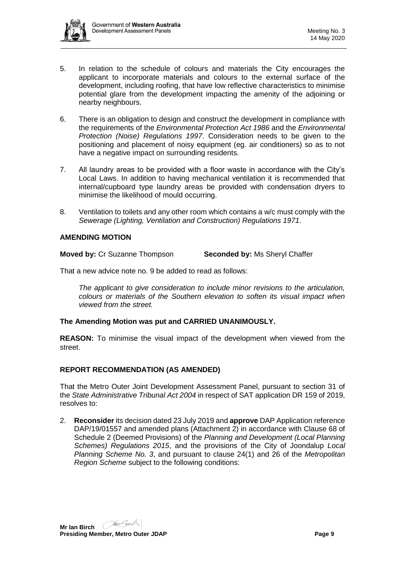

- 5. In relation to the schedule of colours and materials the City encourages the applicant to incorporate materials and colours to the external surface of the development, including roofing, that have low reflective characteristics to minimise potential glare from the development impacting the amenity of the adjoining or nearby neighbours.
- 6. There is an obligation to design and construct the development in compliance with the requirements of the *Environmental Protection Act 1986* and the *Environmental Protection (Noise) Regulations 1997*. Consideration needs to be given to the positioning and placement of noisy equipment (eg. air conditioners) so as to not have a negative impact on surrounding residents.
- 7. All laundry areas to be provided with a floor waste in accordance with the City's Local Laws. In addition to having mechanical ventilation it is recommended that internal/cupboard type laundry areas be provided with condensation dryers to minimise the likelihood of mould occurring.
- 8. Ventilation to toilets and any other room which contains a w/c must comply with the *Sewerage (Lighting, Ventilation and Construction) Regulations 1971*.

#### **AMENDING MOTION**

**Moved by:** Cr Suzanne Thompson **Seconded by:** Ms Sheryl Chaffer

That a new advice note no. 9 be added to read as follows:

*The applicant to give consideration to include minor revisions to the articulation, colours or materials of the Southern elevation to soften its visual impact when viewed from the street.*

### **The Amending Motion was put and CARRIED UNANIMOUSLY.**

**REASON:** To minimise the visual impact of the development when viewed from the street.

#### **REPORT RECOMMENDATION (AS AMENDED)**

That the Metro Outer Joint Development Assessment Panel, pursuant to section 31 of the *State Administrative Tribunal Act 2004* in respect of SAT application DR 159 of 2019, resolves to:

2. **Reconsider** its decision dated 23 July 2019 and **approve** DAP Application reference DAP/19/01557 and amended plans (Attachment 2) in accordance with Clause 68 of Schedule 2 (Deemed Provisions) of the *Planning and Development (Local Planning Schemes) Regulations 2015*, and the provisions of the City of Joondalup *Local Planning Scheme No. 3*, and pursuant to clause 24(1) and 26 of the *Metropolitan Region Scheme* subject to the following conditions: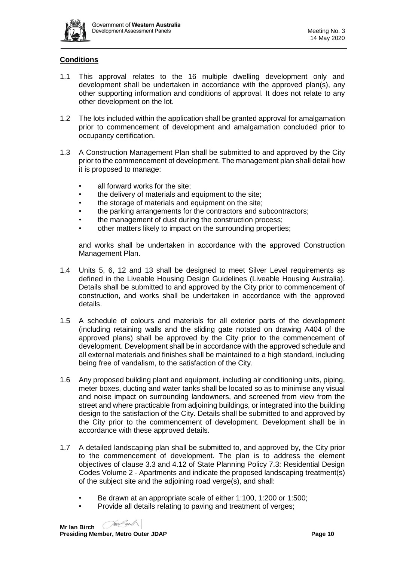

## **Conditions**

- 1.1 This approval relates to the 16 multiple dwelling development only and development shall be undertaken in accordance with the approved plan(s), any other supporting information and conditions of approval. It does not relate to any other development on the lot.
- 1.2 The lots included within the application shall be granted approval for amalgamation prior to commencement of development and amalgamation concluded prior to occupancy certification.
- 1.3 A Construction Management Plan shall be submitted to and approved by the City prior to the commencement of development. The management plan shall detail how it is proposed to manage:
	- all forward works for the site;
	- the delivery of materials and equipment to the site:
	- the storage of materials and equipment on the site;
	- the parking arrangements for the contractors and subcontractors;
	- the management of dust during the construction process;
	- other matters likely to impact on the surrounding properties;

and works shall be undertaken in accordance with the approved Construction Management Plan.

- 1.4 Units 5, 6, 12 and 13 shall be designed to meet Silver Level requirements as defined in the Liveable Housing Design Guidelines (Liveable Housing Australia). Details shall be submitted to and approved by the City prior to commencement of construction, and works shall be undertaken in accordance with the approved details.
- 1.5 A schedule of colours and materials for all exterior parts of the development (including retaining walls and the sliding gate notated on drawing A404 of the approved plans) shall be approved by the City prior to the commencement of development. Development shall be in accordance with the approved schedule and all external materials and finishes shall be maintained to a high standard, including being free of vandalism, to the satisfaction of the City.
- 1.6 Any proposed building plant and equipment, including air conditioning units, piping, meter boxes, ducting and water tanks shall be located so as to minimise any visual and noise impact on surrounding landowners, and screened from view from the street and where practicable from adjoining buildings, or integrated into the building design to the satisfaction of the City. Details shall be submitted to and approved by the City prior to the commencement of development. Development shall be in accordance with these approved details.
- 1.7 A detailed landscaping plan shall be submitted to, and approved by, the City prior to the commencement of development. The plan is to address the element objectives of clause 3.3 and 4.12 of State Planning Policy 7.3: Residential Design Codes Volume 2 - Apartments and indicate the proposed landscaping treatment(s) of the subject site and the adjoining road verge(s), and shall:
	- Be drawn at an appropriate scale of either 1:100, 1:200 or 1:500;
	- Provide all details relating to paving and treatment of verges;

**Mr Ian Birch**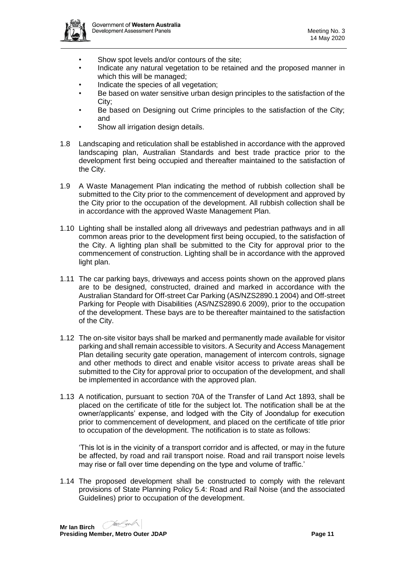

- Show spot levels and/or contours of the site:
- Indicate any natural vegetation to be retained and the proposed manner in which this will be managed;
- Indicate the species of all vegetation;
- Be based on water sensitive urban design principles to the satisfaction of the City;
- Be based on Designing out Crime principles to the satisfaction of the City; and
- Show all irrigation design details.
- 1.8 Landscaping and reticulation shall be established in accordance with the approved landscaping plan, Australian Standards and best trade practice prior to the development first being occupied and thereafter maintained to the satisfaction of the City.
- 1.9 A Waste Management Plan indicating the method of rubbish collection shall be submitted to the City prior to the commencement of development and approved by the City prior to the occupation of the development. All rubbish collection shall be in accordance with the approved Waste Management Plan.
- 1.10 Lighting shall be installed along all driveways and pedestrian pathways and in all common areas prior to the development first being occupied, to the satisfaction of the City. A lighting plan shall be submitted to the City for approval prior to the commencement of construction. Lighting shall be in accordance with the approved light plan.
- 1.11 The car parking bays, driveways and access points shown on the approved plans are to be designed, constructed, drained and marked in accordance with the Australian Standard for Off-street Car Parking (AS/NZS2890.1 2004) and Off-street Parking for People with Disabilities (AS/NZS2890.6 2009), prior to the occupation of the development. These bays are to be thereafter maintained to the satisfaction of the City.
- 1.12 The on-site visitor bays shall be marked and permanently made available for visitor parking and shall remain accessible to visitors. A Security and Access Management Plan detailing security gate operation, management of intercom controls, signage and other methods to direct and enable visitor access to private areas shall be submitted to the City for approval prior to occupation of the development, and shall be implemented in accordance with the approved plan.
- 1.13 A notification, pursuant to section 70A of the Transfer of Land Act 1893, shall be placed on the certificate of title for the subject lot. The notification shall be at the owner/applicants' expense, and lodged with the City of Joondalup for execution prior to commencement of development, and placed on the certificate of title prior to occupation of the development. The notification is to state as follows:

'This lot is in the vicinity of a transport corridor and is affected, or may in the future be affected, by road and rail transport noise. Road and rail transport noise levels may rise or fall over time depending on the type and volume of traffic.'

1.14 The proposed development shall be constructed to comply with the relevant provisions of State Planning Policy 5.4: Road and Rail Noise (and the associated Guidelines) prior to occupation of the development.

**Mr Ian Birch Presiding Member, Metro Outer JDAP Page 11 Page 11**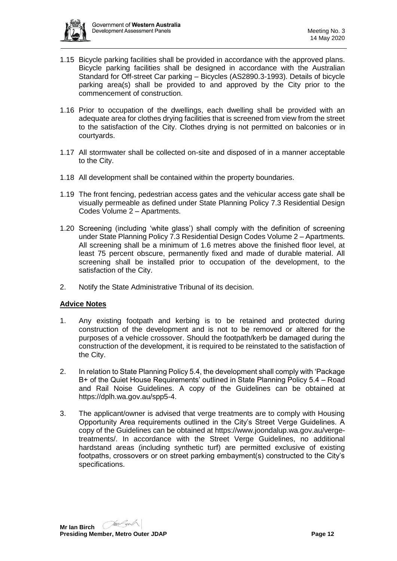

- 1.15 Bicycle parking facilities shall be provided in accordance with the approved plans. Bicycle parking facilities shall be designed in accordance with the Australian Standard for Off-street Car parking – Bicycles (AS2890.3-1993). Details of bicycle parking area(s) shall be provided to and approved by the City prior to the commencement of construction.
- 1.16 Prior to occupation of the dwellings, each dwelling shall be provided with an adequate area for clothes drying facilities that is screened from view from the street to the satisfaction of the City. Clothes drying is not permitted on balconies or in courtyards.
- 1.17 All stormwater shall be collected on-site and disposed of in a manner acceptable to the City.
- 1.18 All development shall be contained within the property boundaries.
- 1.19 The front fencing, pedestrian access gates and the vehicular access gate shall be visually permeable as defined under State Planning Policy 7.3 Residential Design Codes Volume 2 – Apartments.
- 1.20 Screening (including 'white glass') shall comply with the definition of screening under State Planning Policy 7.3 Residential Design Codes Volume 2 – Apartments. All screening shall be a minimum of 1.6 metres above the finished floor level, at least 75 percent obscure, permanently fixed and made of durable material. All screening shall be installed prior to occupation of the development, to the satisfaction of the City.
- 2. Notify the State Administrative Tribunal of its decision.

### **Advice Notes**

- 1. Any existing footpath and kerbing is to be retained and protected during construction of the development and is not to be removed or altered for the purposes of a vehicle crossover. Should the footpath/kerb be damaged during the construction of the development, it is required to be reinstated to the satisfaction of the City.
- 2. In relation to State Planning Policy 5.4, the development shall comply with 'Package B+ of the Quiet House Requirements' outlined in State Planning Policy 5.4 – Road and Rail Noise Guidelines. A copy of the Guidelines can be obtained at [https://dplh.wa.gov.au/spp5-4.](https://dplh.wa.gov.au/spp5-4)
- 3. The applicant/owner is advised that verge treatments are to comply with Housing Opportunity Area requirements outlined in the City's Street Verge Guidelines. A copy of the Guidelines can be obtained at [https://www.joondalup.wa.gov.au/verge](https://www.joondalup.wa.gov.au/verge-treatments/)[treatments/.](https://www.joondalup.wa.gov.au/verge-treatments/) In accordance with the Street Verge Guidelines, no additional hardstand areas (including synthetic turf) are permitted exclusive of existing footpaths, crossovers or on street parking embayment(s) constructed to the City's specifications.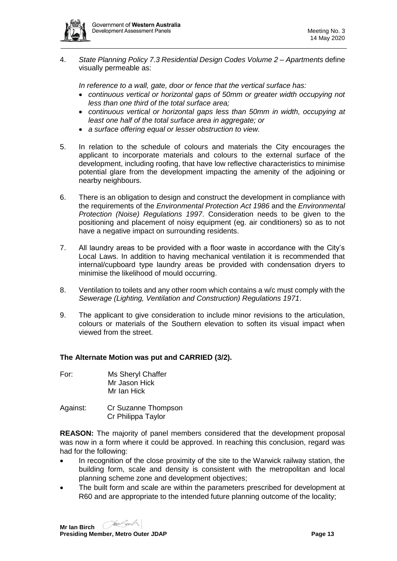

4. *State Planning Policy 7.3 Residential Design Codes Volume 2 – Apartments* define visually permeable as:

*In reference to a wall, gate, door or fence that the vertical surface has:*

- *continuous vertical or horizontal gaps of 50mm or greater width occupying not less than one third of the total surface area;*
- *continuous vertical or horizontal gaps less than 50mm in width, occupying at least one half of the total surface area in aggregate; or*
- *a surface offering equal or lesser obstruction to view.*
- 5. In relation to the schedule of colours and materials the City encourages the applicant to incorporate materials and colours to the external surface of the development, including roofing, that have low reflective characteristics to minimise potential glare from the development impacting the amenity of the adjoining or nearby neighbours.
- 6. There is an obligation to design and construct the development in compliance with the requirements of the *Environmental Protection Act 1986* and the *Environmental Protection (Noise) Regulations 1997*. Consideration needs to be given to the positioning and placement of noisy equipment (eg. air conditioners) so as to not have a negative impact on surrounding residents.
- 7. All laundry areas to be provided with a floor waste in accordance with the City's Local Laws. In addition to having mechanical ventilation it is recommended that internal/cupboard type laundry areas be provided with condensation dryers to minimise the likelihood of mould occurring.
- 8. Ventilation to toilets and any other room which contains a w/c must comply with the *Sewerage (Lighting, Ventilation and Construction) Regulations 1971*.
- 9. The applicant to give consideration to include minor revisions to the articulation, colours or materials of the Southern elevation to soften its visual impact when viewed from the street.

#### **The Alternate Motion was put and CARRIED (3/2).**

- For: Ms Sheryl Chaffer Mr Jason Hick Mr Ian Hick
- Against: Cr Suzanne Thompson Cr Philippa Taylor

**REASON:** The majority of panel members considered that the development proposal was now in a form where it could be approved. In reaching this conclusion, regard was had for the following:

- In recognition of the close proximity of the site to the Warwick railway station, the building form, scale and density is consistent with the metropolitan and local planning scheme zone and development objectives;
- The built form and scale are within the parameters prescribed for development at R60 and are appropriate to the intended future planning outcome of the locality;

**Mr Ian Birch**